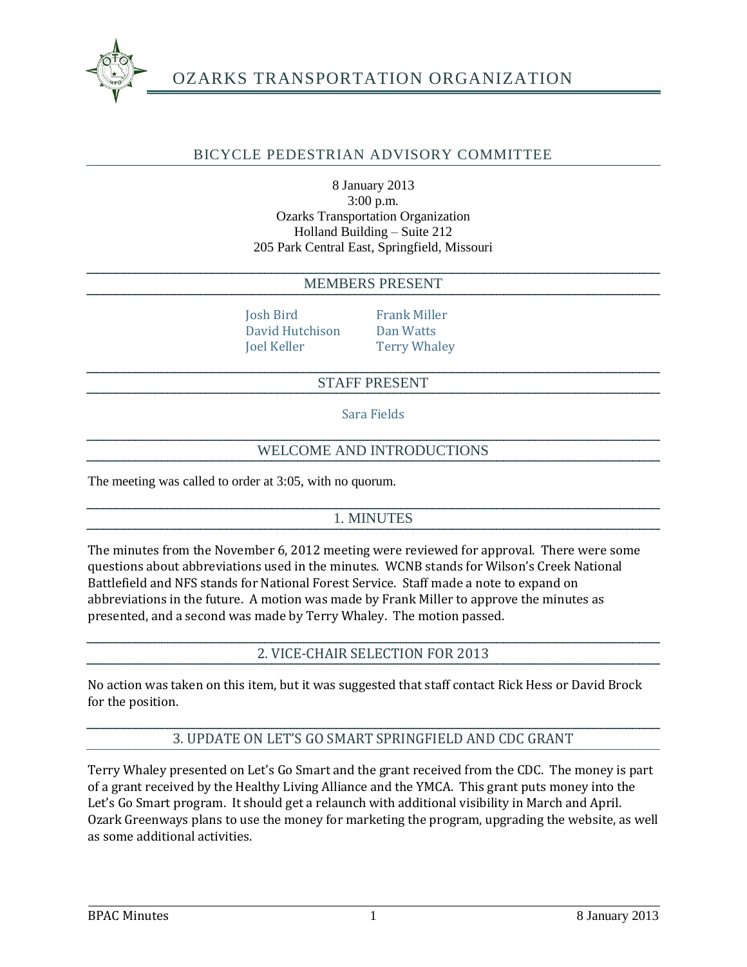

# BICYCLE PEDESTRIAN ADVISORY COMMITTEE

#### 8 January 2013 3:00 p.m. Ozarks Transportation Organization Holland Building – Suite 212 205 Park Central East, Springfield, Missouri

#### MEMBERS PRESENT

Josh Bird Frank Miller David Hutchison Dan Watts Joel Keller Terry Whaley

### STAFF PRESENT

Sara Fields

### WELCOME AND INTRODUCTIONS

The meeting was called to order at 3:05, with no quorum.

### 1. MINUTES

The minutes from the November 6, 2012 meeting were reviewed for approval. There were some questions about abbreviations used in the minutes. WCNB stands for Wilson's Creek National Battlefield and NFS stands for National Forest Service. Staff made a note to expand on abbreviations in the future. A motion was made by Frank Miller to approve the minutes as presented, and a second was made by Terry Whaley. The motion passed.

2. VICE-CHAIR SELECTION FOR 2013

No action was taken on this item, but it was suggested that staff contact Rick Hess or David Brock for the position.

## 3. UPDATE ON LET'S GO SMART SPRINGFIELD AND CDC GRANT

Terry Whaley presented on Let's Go Smart and the grant received from the CDC. The money is part of a grant received by the Healthy Living Alliance and the YMCA. This grant puts money into the Let's Go Smart program. It should get a relaunch with additional visibility in March and April. Ozark Greenways plans to use the money for marketing the program, upgrading the website, as well as some additional activities.